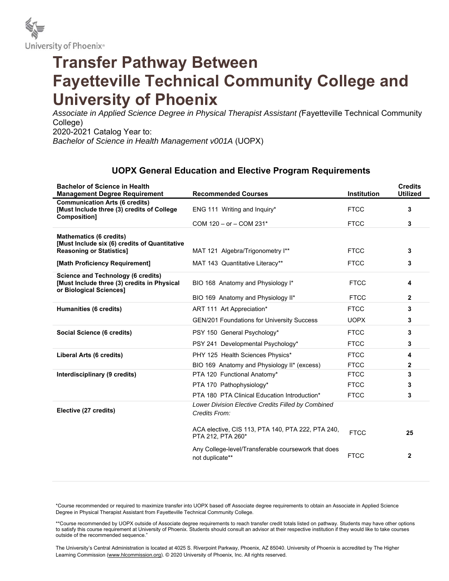

## **Transfer Pathway Between Fayetteville Technical Community College and University of Phoenix**

*Associate in Applied Science Degree in Physical Therapist Assistant (*Fayetteville Technical Community College) 2020-2021 Catalog Year to: *Bachelor of Science in Health Management v001A* (UOPX)

## **UOPX General Education and Elective Program Requirements**

| <b>Bachelor of Science in Health</b><br><b>Management Degree Requirement</b>                                        | <b>Recommended Courses</b>                                             | <b>Institution</b> | <b>Credits</b><br><b>Utilized</b> |
|---------------------------------------------------------------------------------------------------------------------|------------------------------------------------------------------------|--------------------|-----------------------------------|
| <b>Communication Arts (6 credits)</b><br>[Must Include three (3) credits of College<br>Composition]                 | ENG 111 Writing and Inquiry*                                           | <b>FTCC</b>        | 3                                 |
|                                                                                                                     | COM 120 – or – COM 231*                                                | <b>FTCC</b>        | 3                                 |
| <b>Mathematics (6 credits)</b>                                                                                      |                                                                        |                    |                                   |
| [Must Include six (6) credits of Quantitative<br><b>Reasoning or Statistics]</b>                                    | MAT 121 Algebra/Trigonometry I**                                       | <b>FTCC</b>        | 3                                 |
| [Math Proficiency Requirement]                                                                                      | MAT 143 Quantitative Literacy**                                        | <b>FTCC</b>        | 3                                 |
| <b>Science and Technology (6 credits)</b><br>[Must Include three (3) credits in Physical<br>or Biological Sciences] | BIO 168 Anatomy and Physiology I*                                      | <b>FTCC</b>        | 4                                 |
|                                                                                                                     | BIO 169 Anatomy and Physiology II*                                     | <b>FTCC</b>        | $\mathbf{2}$                      |
| <b>Humanities (6 credits)</b>                                                                                       | ART 111 Art Appreciation*                                              | <b>FTCC</b>        | 3                                 |
|                                                                                                                     | <b>GEN/201 Foundations for University Success</b>                      | <b>UOPX</b>        | 3                                 |
| Social Science (6 credits)                                                                                          | PSY 150 General Psychology*                                            | <b>FTCC</b>        | 3                                 |
|                                                                                                                     | PSY 241 Developmental Psychology*                                      | <b>FTCC</b>        | 3                                 |
| Liberal Arts (6 credits)                                                                                            | PHY 125 Health Sciences Physics*                                       | <b>FTCC</b>        | 4                                 |
|                                                                                                                     | BIO 169 Anatomy and Physiology II* (excess)                            | <b>FTCC</b>        | 2                                 |
| Interdisciplinary (9 credits)                                                                                       | PTA 120 Functional Anatomy*                                            | <b>FTCC</b>        | 3                                 |
|                                                                                                                     | PTA 170 Pathophysiology*                                               | <b>FTCC</b>        | 3                                 |
|                                                                                                                     | PTA 180 PTA Clinical Education Introduction*                           | <b>FTCC</b>        | 3                                 |
| Elective (27 credits)                                                                                               | Lower Division Elective Credits Filled by Combined<br>Credits From:    |                    |                                   |
|                                                                                                                     | ACA elective, CIS 113, PTA 140, PTA 222, PTA 240,<br>PTA 212. PTA 260* | <b>FTCC</b>        | 25                                |
|                                                                                                                     | Any College-level/Transferable coursework that does<br>not duplicate** | <b>FTCC</b>        | $\mathbf{2}$                      |

\*Course recommended or required to maximize transfer into UOPX based off Associate degree requirements to obtain an Associate in Applied Science Degree in Physical Therapist Assistant from Fayetteville Technical Community College.

\*\*Course recommended by UOPX outside of Associate degree requirements to reach transfer credit totals listed on pathway. Students may have other options to satisfy this course requirement at University of Phoenix. Students should consult an advisor at their respective institution if they would like to take courses outside of the recommended sequence.'

The University's Central Administration is located at 4025 S. Riverpoint Parkway, Phoenix, AZ 85040. University of Phoenix is accredited by The Higher Learning Commission (www.hlcommission.org). © 2020 University of Phoenix, Inc. All rights reserved.